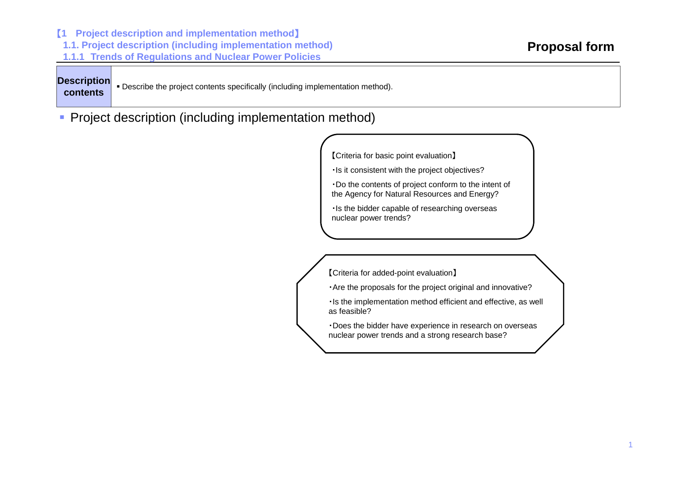【**<sup>1</sup> Project description and implementation method**】 **1.1. Project description (including implementation method) 1.1.1 Trends of Regulations and Nuclear Power Policies**

| <b>Description</b> |  |
|--------------------|--|
| contents           |  |

Describe the project contents specifically (including implementation method).

**Project description (including implementation method)** 

【Criteria for basic point evaluation】

・Is it consistent with the project objectives?

・Do the contents of project conform to the intent of the Agency for Natural Resources and Energy?

・Is the bidder capable of researching overseas nuclear power trends?

【Criteria for added-point evaluation】

・Are the proposals for the project original and innovative?

・Is the implementation method efficient and effective, as well as feasible?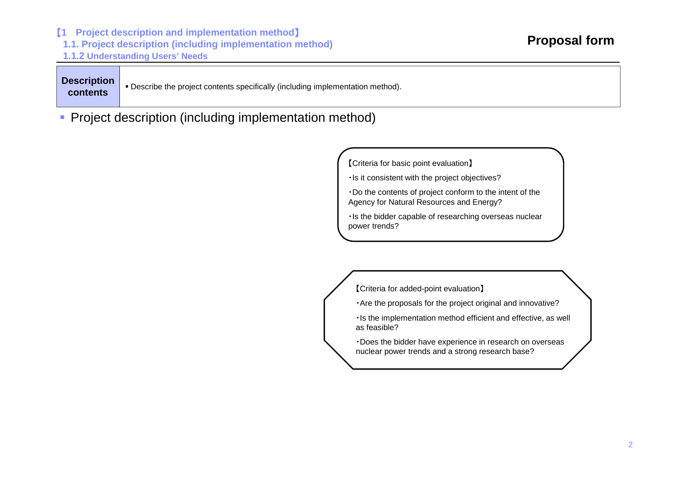【**<sup>1</sup> Project description and implementation method**】

**1.1. Project description (including implementation method)**

**1.1.2 Understanding Users' Needs**

Е Description **Description** Describe the project contents specifically (including implementation method).<br>**Contents** 

**Project description (including implementation method)** 

【Criteria for basic point evaluation】

・Is it consistent with the project objectives?

・Do the contents of project conform to the intent of the Agency for Natural Resources and Energy?

・Is the bidder capable of researching overseas nuclear power trends?

【Criteria for added-point evaluation】

・Are the proposals for the project original and innovative?

・Is the implementation method efficient and effective, as well as feasible?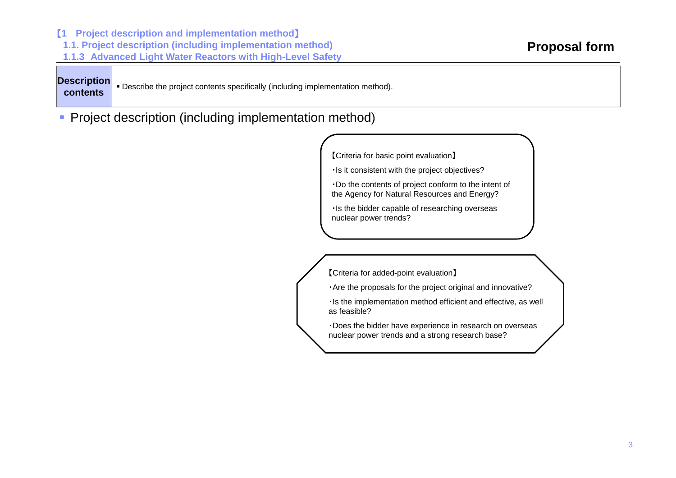**1.1. Project description (including implementation method) 1.1.3 Advanced Light Water Reactors with High-Level Safety** Describe the project contents specifically (including implementation method). **Proposal form Description contents**

**Project description (including implementation method)** 

【**<sup>1</sup> Project description and implementation method**】

【Criteria for basic point evaluation】

・Is it consistent with the project objectives?

・Do the contents of project conform to the intent of the Agency for Natural Resources and Energy?

・Is the bidder capable of researching overseas nuclear power trends?

【Criteria for added-point evaluation】

・Are the proposals for the project original and innovative?

・Is the implementation method efficient and effective, as well as feasible?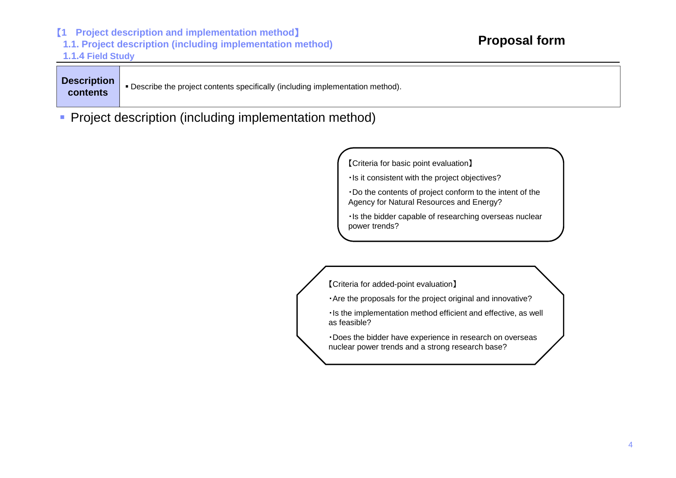【**<sup>1</sup> Project description and implementation method**】 **1.1. Project description (including implementation method) 1.1.4 Field Study**

| <b>Description</b> |
|--------------------|
| contents           |

Е Description **Description** Describe the project contents specifically (including implementation method).<br>**Contents** 

**Project description (including implementation method)** 

【Criteria for basic point evaluation】

・Is it consistent with the project objectives?

・Do the contents of project conform to the intent of the Agency for Natural Resources and Energy?

・Is the bidder capable of researching overseas nuclear power trends?

【Criteria for added-point evaluation】

・Are the proposals for the project original and innovative?

・Is the implementation method efficient and effective, as well as feasible?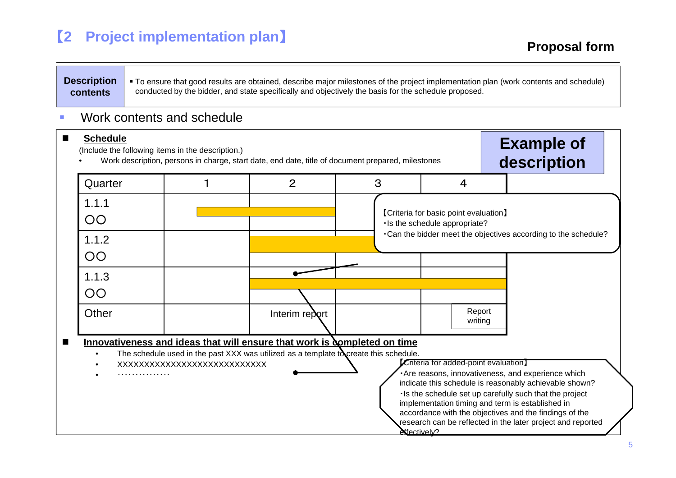## 【**2 Project implementation plan**】

### **Description contents**

 To ensure that good results are obtained, describe major milestones of the project implementation plan (work contents and schedule) conducted by the bidder, and state specifically and objectively the basis for the schedule proposed.

#### $\mathbf{r}$ Work contents and schedule

| (Include the following items in the description.) |                              | Work description, persons in charge, start date, end date, title of document prepared, milestones                                                                 |   |                                                                                | <b>Example of</b><br>description                                                                                                                                                                                                                                                                                                                     |
|---------------------------------------------------|------------------------------|-------------------------------------------------------------------------------------------------------------------------------------------------------------------|---|--------------------------------------------------------------------------------|------------------------------------------------------------------------------------------------------------------------------------------------------------------------------------------------------------------------------------------------------------------------------------------------------------------------------------------------------|
| Quarter                                           |                              | 2                                                                                                                                                                 | 3 | $\overline{4}$                                                                 |                                                                                                                                                                                                                                                                                                                                                      |
| 1.1.1<br>OO                                       |                              |                                                                                                                                                                   |   | <b>[Criteria for basic point evaluation]</b><br>· Is the schedule appropriate? |                                                                                                                                                                                                                                                                                                                                                      |
| 1.1.2<br>OO.                                      |                              |                                                                                                                                                                   |   |                                                                                | . Can the bidder meet the objectives according to the schedule?                                                                                                                                                                                                                                                                                      |
| 1.1.3<br>OO                                       |                              |                                                                                                                                                                   |   |                                                                                |                                                                                                                                                                                                                                                                                                                                                      |
| Other                                             |                              | Interim report                                                                                                                                                    |   | Report<br>writing                                                              |                                                                                                                                                                                                                                                                                                                                                      |
| .                                                 | XXXXXXXXXXXXXXXXXXXXXXXXXXXX | Innovativeness and ideas that will ensure that work is completed on time<br>The schedule used in the past XXX was utilized as a template to create this schedule. |   | Criteria for added-point evaluation]                                           | · Are reasons, innovativeness, and experience which<br>indicate this schedule is reasonably achievable shown?<br>Is the schedule set up carefully such that the project<br>implementation timing and term is established in<br>accordance with the objectives and the findings of the<br>research can be reflected in the later project and reported |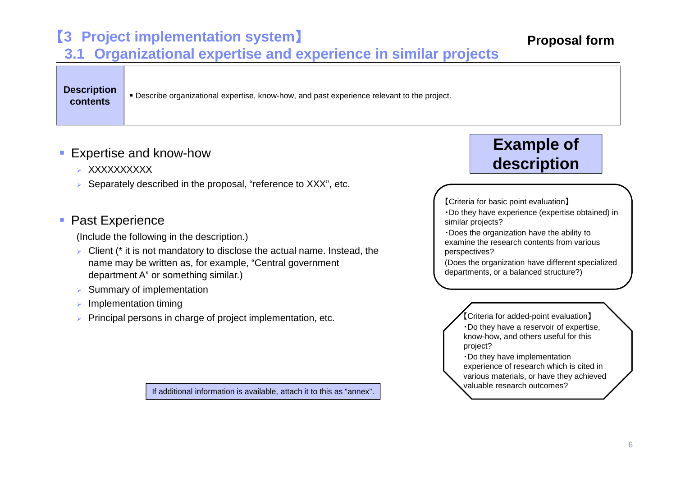## 【**3 Project implementation system**】

**3.1 Organizational expertise and experience in similar projects**

**Description contents**

Describe organizational expertise, know-how, and past experience relevant to the project.

### ■ Expertise and know-how

- ► XXXXXXXXXX
- ⋗ Separately described in the proposal, "reference to XXX", etc.

### **Past Experience**

(Include the following in the description.)

- $\triangleright$  Client (\* it is not mandatory to disclose the actual name. Instead, the name may be written as, for example, "Central government department A" or something similar.)
- $\blacktriangleright$ Summary of implementation
- ⋗ Implementation timing
- ⋗ Principal persons in charge of project implementation, etc.

If additional information is available, attach it to this as "annex".

# **Example of description**

【Criteria for basic point evaluation】

・Do they have experience (expertise obtained) in similar projects?

・Does the organization have the ability to examine the research contents from various perspectives?

(Does the organization have different specialized departments, or a balanced structure?)

> 【Criteria for added-point evaluation】 ・Do they have a reservoir of expertise, know-how, and others useful for this project?

・Do they have implementation experience of research which is cited in various materials, or have they achieved valuable research outcomes?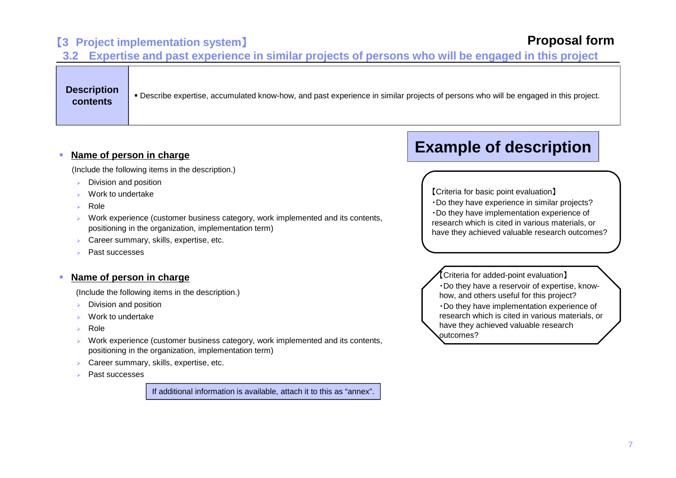### 【**3 Project implementation system**】

### **Proposal form**

**3.2 Expertise and past experience in similar projects of persons who will be engaged in this project**

**Description contents**

Describe expertise, accumulated know-how, and past experience in similar projects of persons who will be engaged in this project.

#### **Name of person in charge**

(Include the following items in the description.)

- ⋗ Division and position
- ⋗ Work to undertake
- ⋗ Role
- $\mathbf{v}$  Work experience (customer business category, work implemented and its contents, positioning in the organization, implementation term)
- ⋗ Career summary, skills, expertise, etc.
- ⋗ Past successes

#### П **Name of person in charge**

(Include the following items in the description.)

- ⋗ Division and position
- ⋗ Work to undertake
- ⋗ Role
- $\mathbf{v}$  Work experience (customer business category, work implemented and its contents, positioning in the organization, implementation term)
- $\mathbf{v}$ Career summary, skills, expertise, etc.
- ⋗ Past successes

If additional information is available, attach it to this as "annex".

## **Example of description**

【Criteria for basic point evaluation】

- ・Do they have experience in similar projects?
- ・Do they have implementation experience of research which is cited in various materials, or have they achieved valuable research outcomes?

【 Criteria for added-point evaluation】 outcomes? ・Do they have a reservoir of expertise, knowhow, and others useful for this project? ・Do they have implementation experience of research which is cited in various materials, or have they achieved valuable research